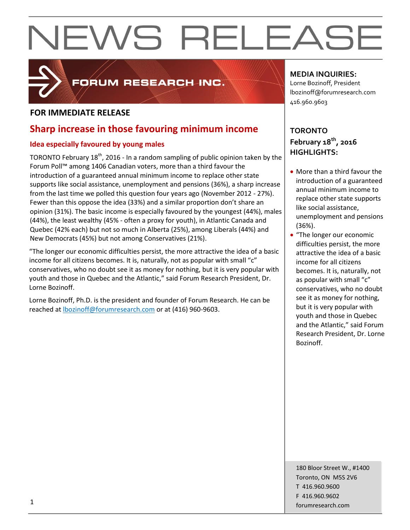# NEWS RELEASE



## FORUM RESEARCH INC.

## **FOR IMMEDIATE RELEASE**

## **Sharp increase in those favouring minimum income**

### **Idea especially favoured by young males**

TORONTO February  $18<sup>th</sup>$ , 2016 - In a random sampling of public opinion taken by the Forum Poll™ among 1406 Canadian voters, more than a third favour the introduction of a guaranteed annual minimum income to replace other state supports like social assistance, unemployment and pensions (36%), a sharp increase from the last time we polled this question four years ago (November 2012 - 27%). Fewer than this oppose the idea (33%) and a similar proportion don't share an opinion (31%). The basic income is especially favoured by the youngest (44%), males (44%), the least wealthy (45% - often a proxy for youth), in Atlantic Canada and Quebec (42% each) but not so much in Alberta (25%), among Liberals (44%) and New Democrats (45%) but not among Conservatives (21%).

"The longer our economic difficulties persist, the more attractive the idea of a basic income for all citizens becomes. It is, naturally, not as popular with small "c" conservatives, who no doubt see it as money for nothing, but it is very popular with youth and those in Quebec and the Atlantic," said Forum Research President, Dr. Lorne Bozinoff.

Lorne Bozinoff, Ph.D. is the president and founder of Forum Research. He can be reached at [lbozinoff@forumresearch.com](mailto:lbozinoff@forumresearch.com) or at (416) 960-9603.

### **MEDIA INQUIRIES:**

Lorne Bozinoff, President lbozinoff@forumresearch.com 416.960.9603

## **TORONTO February 18th, 2016 HIGHLIGHTS:**

- More than a third favour the introduction of a guaranteed annual minimum income to replace other state supports like social assistance, unemployment and pensions (36%).
- "The longer our economic difficulties persist, the more attractive the idea of a basic income for all citizens becomes. It is, naturally, not as popular with small "c" conservatives, who no doubt see it as money for nothing, but it is very popular with youth and those in Quebec and the Atlantic," said Forum Research President, Dr. Lorne Bozinoff.

180 Bloor Street W., #1400 Toronto, ON M5S 2V6 T 416.960.9600 F 416.960.9602 forumresearch.com 1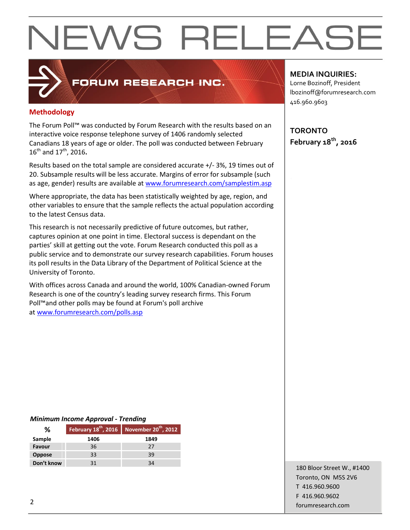# **NEWS RELEASE**

## **Methodology**

The Forum Poll™ was conducted by Forum Research with the results based on an interactive voice response telephone survey of 1406 randomly selected Canadians 18 years of age or older. The poll was conducted between February 16th and 17th, 2016**.**

FORUM RESEARCH INC.

Results based on the total sample are considered accurate +/- 3%, 19 times out of 20. Subsample results will be less accurate. Margins of error for subsample (such as age, gender) results are available at [www.forumresearch.com/samplestim.asp](http://www.forumresearch.com/samplestim.asp)

Where appropriate, the data has been statistically weighted by age, region, and other variables to ensure that the sample reflects the actual population according to the latest Census data.

This research is not necessarily predictive of future outcomes, but rather, captures opinion at one point in time. Electoral success is dependant on the parties' skill at getting out the vote. Forum Research conducted this poll as a public service and to demonstrate our survey research capabilities. Forum houses its poll results in the Data Library of the Department of Political Science at the University of Toronto.

With offices across Canada and around the world, 100% Canadian-owned Forum Research is one of the country's leading survey research firms. This Forum Poll™and other polls may be found at Forum's poll archive at [www.forumresearch.com/polls.asp](http://www.forumresearch.com/polls.asp)

#### **MEDIA INQUIRIES:**

Lorne Bozinoff, President lbozinoff@forumresearch.com 416.960.9603

**TORONTO February 18th, 2016**

#### *Minimum Income Approval - Trending*

| %             |      | February $18^{th}$ , 2016 November $20^{th}$ , 2012 |
|---------------|------|-----------------------------------------------------|
| Sample        | 1406 | 1849                                                |
| Favour        | 36   | 27                                                  |
| <b>Oppose</b> | 33   | 39                                                  |
| Don't know    | 31   | 34                                                  |

180 Bloor Street W., #1400 Toronto, ON M5S 2V6 T 416.960.9600 F 416.960.9602 example to the contract of the contract of the contract of the contract of the contract of the contract of the contract of the contract of the contract of the contract of the contract of the contract of the contract of the